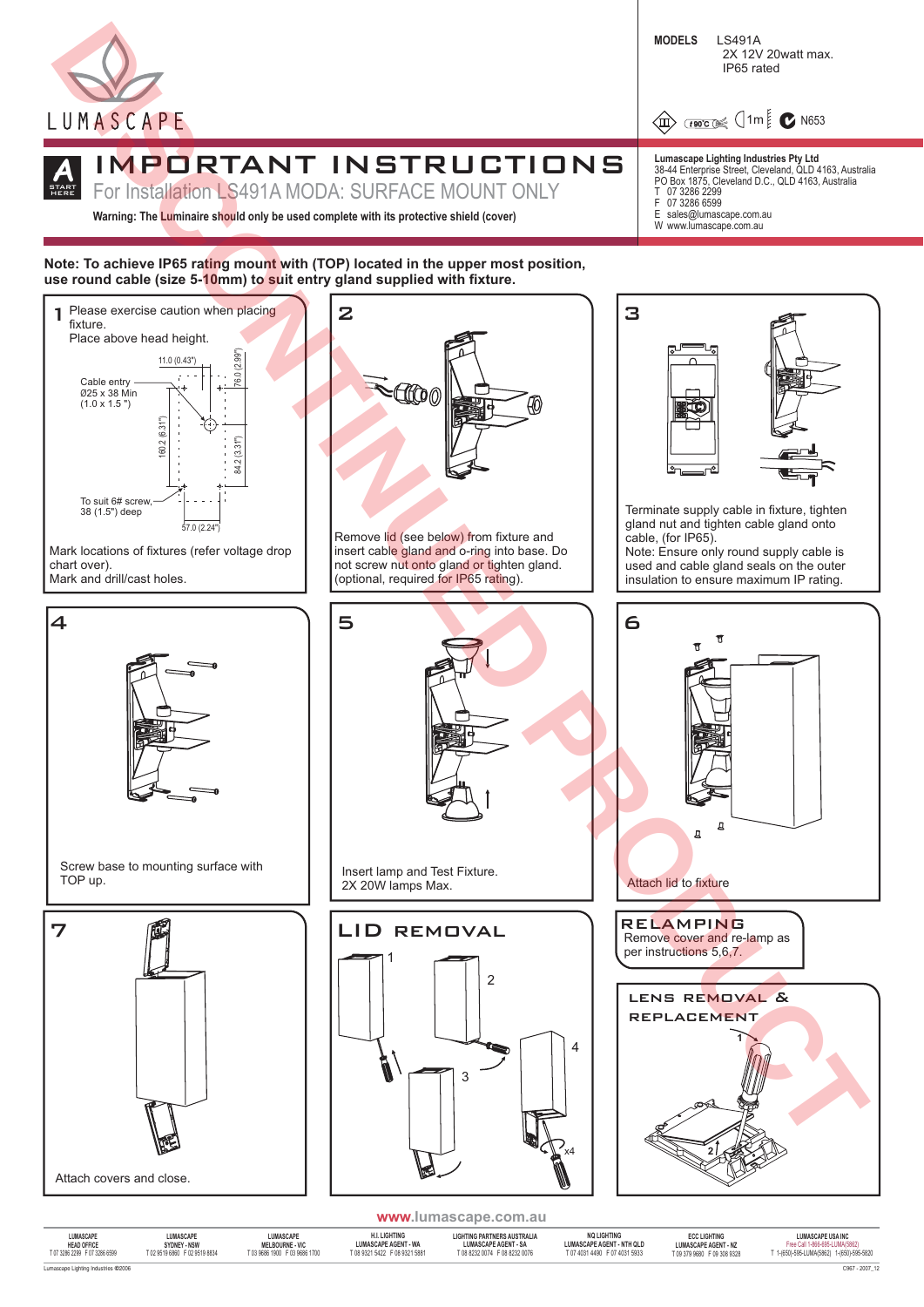

**A** HERE

# **START** IMPORTANT INSTRUCTIONS

For Installation LS491A MODA: SURFACE MOUNT ONLY

**Warning: The Luminaire should only be used complete with its protective shield (cover)**

# Note: To achieve IP65 ra<mark>tin</mark>g mount with (TOP) located in the upper most position, **use round cable (size 5-10mm) to suit entry gland supplied with fixture.**



| LUMASCAPE                           | <b>LUMASCAPE</b>              | LUMASCAPE                     | <b>H.I. LIGHTING</b>          | LIGHTING PARTNERS AUSTRALIA    | <b>NO LIGHTING</b>               | <b>ECC LIGHTING</b>         | LUMASCAPE USA INC                         |
|-------------------------------------|-------------------------------|-------------------------------|-------------------------------|--------------------------------|----------------------------------|-----------------------------|-------------------------------------------|
| <b>HEAD OFFICE</b>                  | SYDNEY - NSW                  | <b>MELBOURNE - VIC</b>        | <b>LUMASCAPE AGENT - WA</b>   | <b>LUMASCAPE AGENT - SA</b>    | <b>LUMASCAPE AGENT - NTH QLD</b> | <b>LUMASCAPE AGENT - NZ</b> | Free Call 1-866-695-LUMA/5862)            |
| T 07 3286 2299 F 07 3286 6599       | T 02 9519 6860 F 02 9519 8834 | T 03 9686 1900 F 03 9686 1700 | T 08 9321 5422 F 08 9321 5881 | T 08 8232 0074  F 08 8232 0076 | T 07 4031 4490 F 07 4031 5933    | T 09 379 9680 F 09 308 9328 | T 1-(650)-595-LUMA(5862) 1-(650)-595-5820 |
| Lumascape Lighting Industries @2006 |                               |                               |                               |                                |                                  |                             | C967 - 2007 1                             |

**Lumascape Lighting Industries Pty Ltd** 38-44 Enterprise Street, Cleveland, QLD 4163, Australia PO Box 1875, Cleveland D.C., QLD 4163, Australia

2X 12V 20watt max.

**4** THE C N653

IP65 rated

07 3286 2299 F 07 3286 6599<br>E sales@lumaso

**MODELS** LS491A

sales@lumascape.com.au W www.lumascape.com.au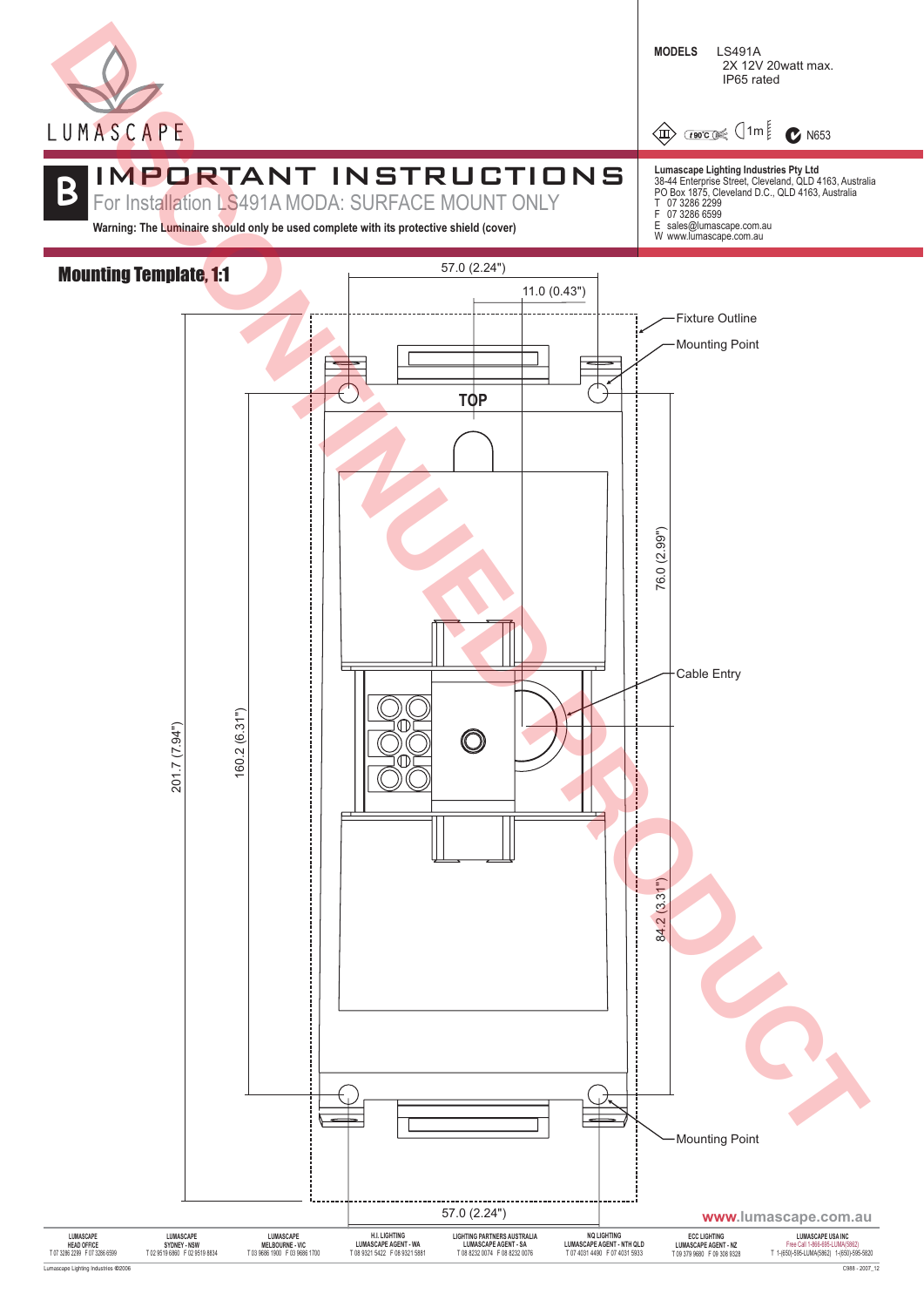

**4** THREE  $\frac{1}{2}$  1m  $\frac{1}{2}$  **C** N653

# IMPORTANT INSTRUCTIONS **B**

For Installation LS491A MODA: SURFACE MOUNT ONLY

**Warning: The Luminaire should only be used complete with its protective shield (cover)**



- 
-